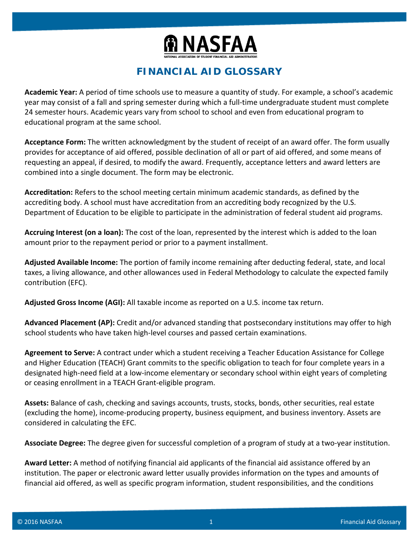

## **FINANCIAL AID GLOSSARY**

**Academic Year:** A period of time schools use to measure a quantity of study. For example, a school's academic year may consist of a fall and spring semester during which a full-time undergraduate student must complete 24 semester hours. Academic years vary from school to school and even from educational program to educational program at the same school.

**Acceptance Form:** The written acknowledgment by the student of receipt of an award offer. The form usually provides for acceptance of aid offered, possible declination of all or part of aid offered, and some means of requesting an appeal, if desired, to modify the award. Frequently, acceptance letters and award letters are combined into a single document. The form may be electronic.

**Accreditation:** Refers to the school meeting certain minimum academic standards, as defined by the accrediting body. A school must have accreditation from an accrediting body recognized by the U.S. Department of Education to be eligible to participate in the administration of federal student aid programs.

**Accruing Interest (on a loan):** The cost of the loan, represented by the interest which is added to the loan amount prior to the repayment period or prior to a payment installment.

**Adjusted Available Income:** The portion of family income remaining after deducting federal, state, and local taxes, a living allowance, and other allowances used in Federal Methodology to calculate the expected family contribution (EFC).

**Adjusted Gross Income (AGI):** All taxable income as reported on a U.S. income tax return.

**Advanced Placement (AP):** Credit and/or advanced standing that postsecondary institutions may offer to high school students who have taken high-level courses and passed certain examinations.

**Agreement to Serve:** A contract under which a student receiving a Teacher Education Assistance for College and Higher Education (TEACH) Grant commits to the specific obligation to teach for four complete years in a designated high-need field at a low-income elementary or secondary school within eight years of completing or ceasing enrollment in a TEACH Grant-eligible program.

**Assets:** Balance of cash, checking and savings accounts, trusts, stocks, bonds, other securities, real estate (excluding the home), income-producing property, business equipment, and business inventory. Assets are considered in calculating the EFC.

**Associate Degree:** The degree given for successful completion of a program of study at a two-year institution.

**Award Letter:** A method of notifying financial aid applicants of the financial aid assistance offered by an institution. The paper or electronic award letter usually provides information on the types and amounts of financial aid offered, as well as specific program information, student responsibilities, and the conditions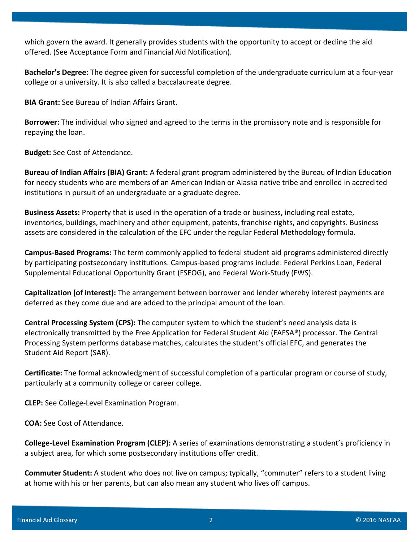which govern the award. It generally provides students with the opportunity to accept or decline the aid offered. (See Acceptance Form and Financial Aid Notification).

**Bachelor's Degree:** The degree given for successful completion of the undergraduate curriculum at a four-year college or a university. It is also called a baccalaureate degree.

**BIA Grant:** See Bureau of Indian Affairs Grant.

**Borrower:** The individual who signed and agreed to the terms in the promissory note and is responsible for repaying the loan.

**Budget:** See Cost of Attendance.

**Bureau of Indian Affairs (BIA) Grant:** A federal grant program administered by the Bureau of Indian Education for needy students who are members of an American Indian or Alaska native tribe and enrolled in accredited institutions in pursuit of an undergraduate or a graduate degree.

**Business Assets:** Property that is used in the operation of a trade or business, including real estate, inventories, buildings, machinery and other equipment, patents, franchise rights, and copyrights. Business assets are considered in the calculation of the EFC under the regular Federal Methodology formula.

**Campus-Based Programs:** The term commonly applied to federal student aid programs administered directly by participating postsecondary institutions. Campus-based programs include: Federal Perkins Loan, Federal Supplemental Educational Opportunity Grant (FSEOG), and Federal Work-Study (FWS).

**Capitalization (of interest):** The arrangement between borrower and lender whereby interest payments are deferred as they come due and are added to the principal amount of the loan.

**Central Processing System (CPS):** The computer system to which the student's need analysis data is electronically transmitted by the Free Application for Federal Student Aid (FAFSA®) processor. The Central Processing System performs database matches, calculates the student's official EFC, and generates the Student Aid Report (SAR).

**Certificate:** The formal acknowledgment of successful completion of a particular program or course of study, particularly at a community college or career college.

**CLEP:** See College-Level Examination Program.

**COA:** See Cost of Attendance.

**College-Level Examination Program (CLEP):** A series of examinations demonstrating a student's proficiency in a subject area, for which some postsecondary institutions offer credit.

**Commuter Student:** A student who does not live on campus; typically, "commuter" refers to a student living at home with his or her parents, but can also mean any student who lives off campus.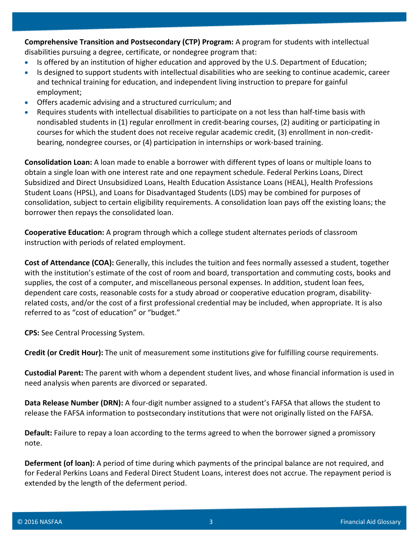**Comprehensive Transition and Postsecondary (CTP) Program:** A program for students with intellectual disabilities pursuing a degree, certificate, or nondegree program that:

- Is offered by an institution of higher education and approved by the U.S. Department of Education;
- Is designed to support students with intellectual disabilities who are seeking to continue academic, career and technical training for education, and independent living instruction to prepare for gainful employment;
- Offers academic advising and a structured curriculum; and
- Requires students with intellectual disabilities to participate on a not less than half-time basis with nondisabled students in (1) regular enrollment in credit-bearing courses, (2) auditing or participating in courses for which the student does not receive regular academic credit, (3) enrollment in non-creditbearing, nondegree courses, or (4) participation in internships or work-based training.

**Consolidation Loan:** A loan made to enable a borrower with different types of loans or multiple loans to obtain a single loan with one interest rate and one repayment schedule. Federal Perkins Loans, Direct Subsidized and Direct Unsubsidized Loans, Health Education Assistance Loans (HEAL), Health Professions Student Loans (HPSL), and Loans for Disadvantaged Students (LDS) may be combined for purposes of consolidation, subject to certain eligibility requirements. A consolidation loan pays off the existing loans; the borrower then repays the consolidated loan.

**Cooperative Education:** A program through which a college student alternates periods of classroom instruction with periods of related employment.

**Cost of Attendance (COA):** Generally, this includes the tuition and fees normally assessed a student, together with the institution's estimate of the cost of room and board, transportation and commuting costs, books and supplies, the cost of a computer, and miscellaneous personal expenses. In addition, student loan fees, dependent care costs, reasonable costs for a study abroad or cooperative education program, disabilityrelated costs, and/or the cost of a first professional credential may be included, when appropriate. It is also referred to as "cost of education" or "budget."

**CPS:** See Central Processing System.

**Credit (or Credit Hour):** The unit of measurement some institutions give for fulfilling course requirements.

**Custodial Parent:** The parent with whom a dependent student lives, and whose financial information is used in need analysis when parents are divorced or separated.

**Data Release Number (DRN):** A four-digit number assigned to a student's FAFSA that allows the student to release the FAFSA information to postsecondary institutions that were not originally listed on the FAFSA.

**Default:** Failure to repay a loan according to the terms agreed to when the borrower signed a promissory note.

**Deferment (of loan):** A period of time during which payments of the principal balance are not required, and for Federal Perkins Loans and Federal Direct Student Loans, interest does not accrue. The repayment period is extended by the length of the deferment period.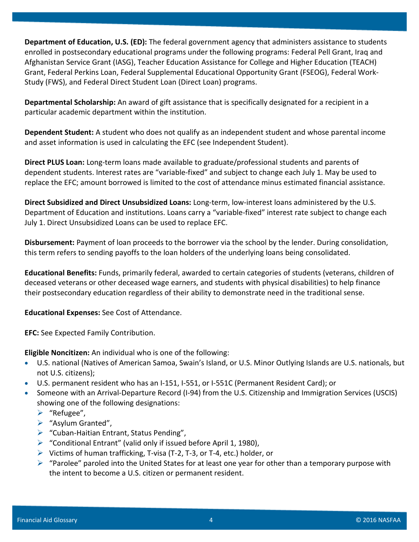**Department of Education, U.S. (ED):** The federal government agency that administers assistance to students enrolled in postsecondary educational programs under the following programs: Federal Pell Grant, Iraq and Afghanistan Service Grant (IASG), Teacher Education Assistance for College and Higher Education (TEACH) Grant, Federal Perkins Loan, Federal Supplemental Educational Opportunity Grant (FSEOG), Federal Work-Study (FWS), and Federal Direct Student Loan (Direct Loan) programs.

**Departmental Scholarship:** An award of gift assistance that is specifically designated for a recipient in a particular academic department within the institution.

**Dependent Student:** A student who does not qualify as an independent student and whose parental income and asset information is used in calculating the EFC (see Independent Student).

**Direct PLUS Loan:** Long-term loans made available to graduate/professional students and parents of dependent students. Interest rates are "variable-fixed" and subject to change each July 1. May be used to replace the EFC; amount borrowed is limited to the cost of attendance minus estimated financial assistance.

**Direct Subsidized and Direct Unsubsidized Loans:** Long-term, low-interest loans administered by the U.S. Department of Education and institutions. Loans carry a "variable-fixed" interest rate subject to change each July 1. Direct Unsubsidized Loans can be used to replace EFC.

**Disbursement:** Payment of loan proceeds to the borrower via the school by the lender. During consolidation, this term refers to sending payoffs to the loan holders of the underlying loans being consolidated.

**Educational Benefits:** Funds, primarily federal, awarded to certain categories of students (veterans, children of deceased veterans or other deceased wage earners, and students with physical disabilities) to help finance their postsecondary education regardless of their ability to demonstrate need in the traditional sense.

**Educational Expenses:** See Cost of Attendance.

**EFC:** See Expected Family Contribution.

**Eligible Noncitizen:** An individual who is one of the following:

- U.S. national (Natives of American Samoa, Swain's Island, or U.S. Minor Outlying Islands are U.S. nationals, but not U.S. citizens);
- U.S. permanent resident who has an I-151, I-551, or I-551C (Permanent Resident Card); or
- Someone with an Arrival-Departure Record (I-94) from the U.S. Citizenship and Immigration Services (USCIS) showing one of the following designations:
	- $\triangleright$  "Refugee",
	- $\triangleright$  "Asylum Granted",
	- $\triangleright$  "Cuban-Haitian Entrant, Status Pending",
	- $\triangleright$  "Conditional Entrant" (valid only if issued before April 1, 1980),
	- $\triangleright$  Victims of human trafficking, T-visa (T-2, T-3, or T-4, etc.) holder, or
	- $\triangleright$  "Parolee" paroled into the United States for at least one year for other than a temporary purpose with the intent to become a U.S. citizen or permanent resident.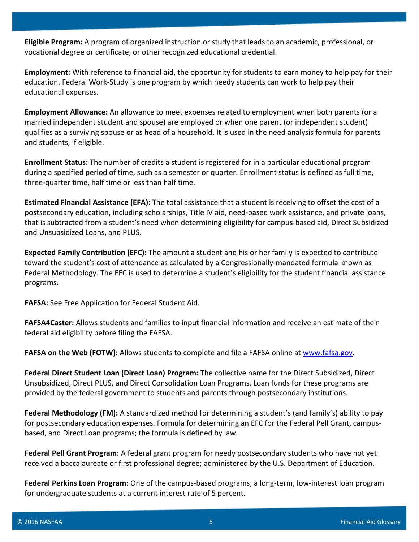**Eligible Program:** A program of organized instruction or study that leads to an academic, professional, or vocational degree or certificate, or other recognized educational credential.

**Employment:** With reference to financial aid, the opportunity for students to earn money to help pay for their education. Federal Work-Study is one program by which needy students can work to help pay their educational expenses.

**Employment Allowance:** An allowance to meet expenses related to employment when both parents (or a married independent student and spouse) are employed or when one parent (or independent student) qualifies as a surviving spouse or as head of a household. It is used in the need analysis formula for parents and students, if eligible.

**Enrollment Status:** The number of credits a student is registered for in a particular educational program during a specified period of time, such as a semester or quarter. Enrollment status is defined as full time, three-quarter time, half time or less than half time.

**Estimated Financial Assistance (EFA):** The total assistance that a student is receiving to offset the cost of a postsecondary education, including scholarships, Title IV aid, need-based work assistance, and private loans, that is subtracted from a student's need when determining eligibility for campus-based aid, Direct Subsidized and Unsubsidized Loans, and PLUS.

**Expected Family Contribution (EFC):** The amount a student and his or her family is expected to contribute toward the student's cost of attendance as calculated by a Congressionally-mandated formula known as Federal Methodology. The EFC is used to determine a student's eligibility for the student financial assistance programs.

**FAFSA:** See Free Application for Federal Student Aid.

**FAFSA4Caster:** Allows students and families to input financial information and receive an estimate of their federal aid eligibility before filing the FAFSA.

**FAFSA on the Web (FOTW):** Allows students to complete and file a FAFSA online at [www.fafsa.gov.](http://www.fafsa.gov/)

**Federal Direct Student Loan (Direct Loan) Program:** The collective name for the Direct Subsidized, Direct Unsubsidized, Direct PLUS, and Direct Consolidation Loan Programs. Loan funds for these programs are provided by the federal government to students and parents through postsecondary institutions.

**Federal Methodology (FM):** A standardized method for determining a student's (and family's) ability to pay for postsecondary education expenses. Formula for determining an EFC for the Federal Pell Grant, campusbased, and Direct Loan programs; the formula is defined by law.

**Federal Pell Grant Program:** A federal grant program for needy postsecondary students who have not yet received a baccalaureate or first professional degree; administered by the U.S. Department of Education.

**Federal Perkins Loan Program:** One of the campus-based programs; a long-term, low-interest loan program for undergraduate students at a current interest rate of 5 percent.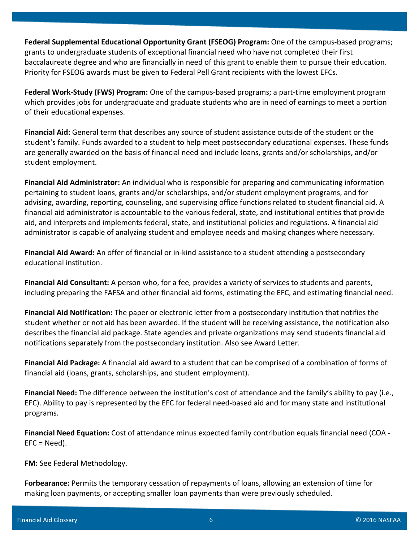**Federal Supplemental Educational Opportunity Grant (FSEOG) Program:** One of the campus-based programs; grants to undergraduate students of exceptional financial need who have not completed their first baccalaureate degree and who are financially in need of this grant to enable them to pursue their education. Priority for FSEOG awards must be given to Federal Pell Grant recipients with the lowest EFCs.

**Federal Work-Study (FWS) Program:** One of the campus-based programs; a part-time employment program which provides jobs for undergraduate and graduate students who are in need of earnings to meet a portion of their educational expenses.

**Financial Aid:** General term that describes any source of student assistance outside of the student or the student's family. Funds awarded to a student to help meet postsecondary educational expenses. These funds are generally awarded on the basis of financial need and include loans, grants and/or scholarships, and/or student employment.

**Financial Aid Administrator:** An individual who is responsible for preparing and communicating information pertaining to student loans, grants and/or scholarships, and/or student employment programs, and for advising, awarding, reporting, counseling, and supervising office functions related to student financial aid. A financial aid administrator is accountable to the various federal, state, and institutional entities that provide aid, and interprets and implements federal, state, and institutional policies and regulations. A financial aid administrator is capable of analyzing student and employee needs and making changes where necessary.

**Financial Aid Award:** An offer of financial or in-kind assistance to a student attending a postsecondary educational institution.

**Financial Aid Consultant:** A person who, for a fee, provides a variety of services to students and parents, including preparing the FAFSA and other financial aid forms, estimating the EFC, and estimating financial need.

**Financial Aid Notification:** The paper or electronic letter from a postsecondary institution that notifies the student whether or not aid has been awarded. If the student will be receiving assistance, the notification also describes the financial aid package. State agencies and private organizations may send students financial aid notifications separately from the postsecondary institution. Also see Award Letter.

**Financial Aid Package:** A financial aid award to a student that can be comprised of a combination of forms of financial aid (loans, grants, scholarships, and student employment).

**Financial Need:** The difference between the institution's cost of attendance and the family's ability to pay (i.e., EFC). Ability to pay is represented by the EFC for federal need-based aid and for many state and institutional programs.

**Financial Need Equation:** Cost of attendance minus expected family contribution equals financial need (COA -  $EFC = Need$ ).

**FM:** See Federal Methodology.

**Forbearance:** Permits the temporary cessation of repayments of loans, allowing an extension of time for making loan payments, or accepting smaller loan payments than were previously scheduled.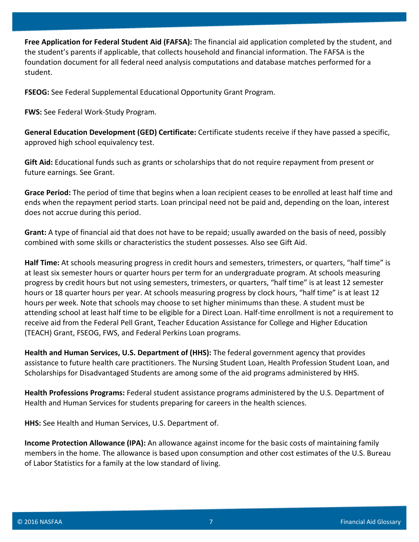**Free Application for Federal Student Aid (FAFSA):** The financial aid application completed by the student, and the student's parents if applicable, that collects household and financial information. The FAFSA is the foundation document for all federal need analysis computations and database matches performed for a student.

**FSEOG:** See Federal Supplemental Educational Opportunity Grant Program.

**FWS:** See Federal Work-Study Program.

**General Education Development (GED) Certificate:** Certificate students receive if they have passed a specific, approved high school equivalency test.

**Gift Aid:** Educational funds such as grants or scholarships that do not require repayment from present or future earnings. See Grant.

**Grace Period:** The period of time that begins when a loan recipient ceases to be enrolled at least half time and ends when the repayment period starts. Loan principal need not be paid and, depending on the loan, interest does not accrue during this period.

**Grant:** A type of financial aid that does not have to be repaid; usually awarded on the basis of need, possibly combined with some skills or characteristics the student possesses. Also see Gift Aid.

**Half Time:** At schools measuring progress in credit hours and semesters, trimesters, or quarters, "half time" is at least six semester hours or quarter hours per term for an undergraduate program. At schools measuring progress by credit hours but not using semesters, trimesters, or quarters, "half time" is at least 12 semester hours or 18 quarter hours per year. At schools measuring progress by clock hours, "half time" is at least 12 hours per week. Note that schools may choose to set higher minimums than these. A student must be attending school at least half time to be eligible for a Direct Loan. Half-time enrollment is not a requirement to receive aid from the Federal Pell Grant, Teacher Education Assistance for College and Higher Education (TEACH) Grant, FSEOG, FWS, and Federal Perkins Loan programs.

**Health and Human Services, U.S. Department of (HHS):** The federal government agency that provides assistance to future health care practitioners. The Nursing Student Loan, Health Profession Student Loan, and Scholarships for Disadvantaged Students are among some of the aid programs administered by HHS.

**Health Professions Programs:** Federal student assistance programs administered by the U.S. Department of Health and Human Services for students preparing for careers in the health sciences.

**HHS:** See Health and Human Services, U.S. Department of.

**Income Protection Allowance (IPA):** An allowance against income for the basic costs of maintaining family members in the home. The allowance is based upon consumption and other cost estimates of the U.S. Bureau of Labor Statistics for a family at the low standard of living.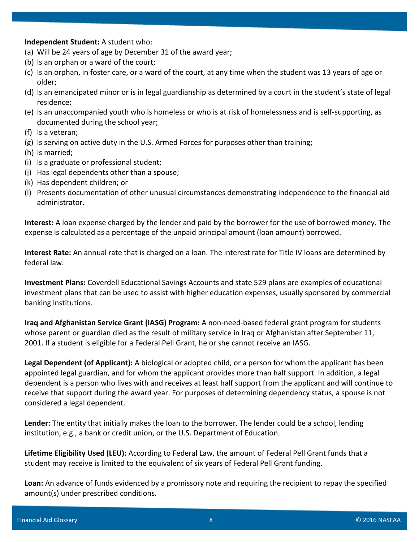**Independent Student:** A student who:

- (a) Will be 24 years of age by December 31 of the award year;
- (b) Is an orphan or a ward of the court;
- (c) Is an orphan, in foster care, or a ward of the court, at any time when the student was 13 years of age or older;
- (d) Is an emancipated minor or is in legal guardianship as determined by a court in the student's state of legal residence;
- (e) Is an unaccompanied youth who is homeless or who is at risk of homelessness and is self-supporting, as documented during the school year;
- (f) Is a veteran;
- (g) Is serving on active duty in the U.S. Armed Forces for purposes other than training;
- (h) Is married;
- (i) Is a graduate or professional student;
- (j) Has legal dependents other than a spouse;
- (k) Has dependent children; or
- (l) Presents documentation of other unusual circumstances demonstrating independence to the financial aid administrator.

**Interest:** A loan expense charged by the lender and paid by the borrower for the use of borrowed money. The expense is calculated as a percentage of the unpaid principal amount (loan amount) borrowed.

**Interest Rate:** An annual rate that is charged on a loan. The interest rate for Title IV loans are determined by federal law.

**Investment Plans:** Coverdell Educational Savings Accounts and state 529 plans are examples of educational investment plans that can be used to assist with higher education expenses, usually sponsored by commercial banking institutions.

**Iraq and Afghanistan Service Grant (IASG) Program:** A non-need-based federal grant program for students whose parent or guardian died as the result of military service in Iraq or Afghanistan after September 11, 2001. If a student is eligible for a Federal Pell Grant, he or she cannot receive an IASG.

**Legal Dependent (of Applicant):** A biological or adopted child, or a person for whom the applicant has been appointed legal guardian, and for whom the applicant provides more than half support. In addition, a legal dependent is a person who lives with and receives at least half support from the applicant and will continue to receive that support during the award year. For purposes of determining dependency status, a spouse is not considered a legal dependent.

**Lender:** The entity that initially makes the loan to the borrower. The lender could be a school, lending institution, e.g., a bank or credit union, or the U.S. Department of Education.

**Lifetime Eligibility Used (LEU):** According to Federal Law, the amount of Federal Pell Grant funds that a student may receive is limited to the equivalent of six years of Federal Pell Grant funding.

**Loan:** An advance of funds evidenced by a promissory note and requiring the recipient to repay the specified amount(s) under prescribed conditions.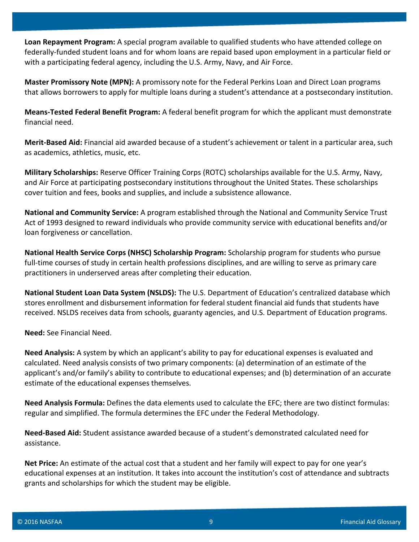**Loan Repayment Program:** A special program available to qualified students who have attended college on federally-funded student loans and for whom loans are repaid based upon employment in a particular field or with a participating federal agency, including the U.S. Army, Navy, and Air Force.

**Master Promissory Note (MPN):** A promissory note for the Federal Perkins Loan and Direct Loan programs that allows borrowers to apply for multiple loans during a student's attendance at a postsecondary institution.

**Means-Tested Federal Benefit Program:** A federal benefit program for which the applicant must demonstrate financial need.

**Merit-Based Aid:** Financial aid awarded because of a student's achievement or talent in a particular area, such as academics, athletics, music, etc.

**Military Scholarships:** Reserve Officer Training Corps (ROTC) scholarships available for the U.S. Army, Navy, and Air Force at participating postsecondary institutions throughout the United States. These scholarships cover tuition and fees, books and supplies, and include a subsistence allowance.

**National and Community Service:** A program established through the National and Community Service Trust Act of 1993 designed to reward individuals who provide community service with educational benefits and/or loan forgiveness or cancellation.

**National Health Service Corps (NHSC) Scholarship Program:** Scholarship program for students who pursue full-time courses of study in certain health professions disciplines, and are willing to serve as primary care practitioners in underserved areas after completing their education.

**National Student Loan Data System (NSLDS):** The U.S. Department of Education's centralized database which stores enrollment and disbursement information for federal student financial aid funds that students have received. NSLDS receives data from schools, guaranty agencies, and U.S. Department of Education programs.

**Need:** See Financial Need.

**Need Analysis:** A system by which an applicant's ability to pay for educational expenses is evaluated and calculated. Need analysis consists of two primary components: (a) determination of an estimate of the applicant's and/or family's ability to contribute to educational expenses; and (b) determination of an accurate estimate of the educational expenses themselves.

**Need Analysis Formula:** Defines the data elements used to calculate the EFC; there are two distinct formulas: regular and simplified. The formula determines the EFC under the Federal Methodology.

**Need-Based Aid:** Student assistance awarded because of a student's demonstrated calculated need for assistance.

**Net Price:** An estimate of the actual cost that a student and her family will expect to pay for one year's educational expenses at an institution. It takes into account the institution's cost of attendance and subtracts grants and scholarships for which the student may be eligible.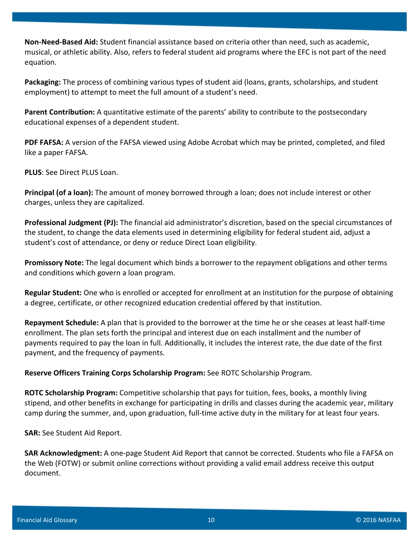**Non-Need-Based Aid:** Student financial assistance based on criteria other than need, such as academic, musical, or athletic ability. Also, refers to federal student aid programs where the EFC is not part of the need equation.

**Packaging:** The process of combining various types of student aid (loans, grants, scholarships, and student employment) to attempt to meet the full amount of a student's need.

**Parent Contribution:** A quantitative estimate of the parents' ability to contribute to the postsecondary educational expenses of a dependent student.

**PDF FAFSA:** A version of the FAFSA viewed using Adobe Acrobat which may be printed, completed, and filed like a paper FAFSA.

**PLUS**: See Direct PLUS Loan.

**Principal (of a loan):** The amount of money borrowed through a loan; does not include interest or other charges, unless they are capitalized.

**Professional Judgment (PJ):** The financial aid administrator's discretion, based on the special circumstances of the student, to change the data elements used in determining eligibility for federal student aid, adjust a student's cost of attendance, or deny or reduce Direct Loan eligibility.

**Promissory Note:** The legal document which binds a borrower to the repayment obligations and other terms and conditions which govern a loan program.

**Regular Student:** One who is enrolled or accepted for enrollment at an institution for the purpose of obtaining a degree, certificate, or other recognized education credential offered by that institution.

**Repayment Schedule:** A plan that is provided to the borrower at the time he or she ceases at least half-time enrollment. The plan sets forth the principal and interest due on each installment and the number of payments required to pay the loan in full. Additionally, it includes the interest rate, the due date of the first payment, and the frequency of payments.

**Reserve Officers Training Corps Scholarship Program:** See ROTC Scholarship Program.

**ROTC Scholarship Program:** Competitive scholarship that pays for tuition, fees, books, a monthly living stipend, and other benefits in exchange for participating in drills and classes during the academic year, military camp during the summer, and, upon graduation, full-time active duty in the military for at least four years.

**SAR:** See Student Aid Report.

**SAR Acknowledgment:** A one-page Student Aid Report that cannot be corrected. Students who file a FAFSA on the Web (FOTW) or submit online corrections without providing a valid email address receive this output document.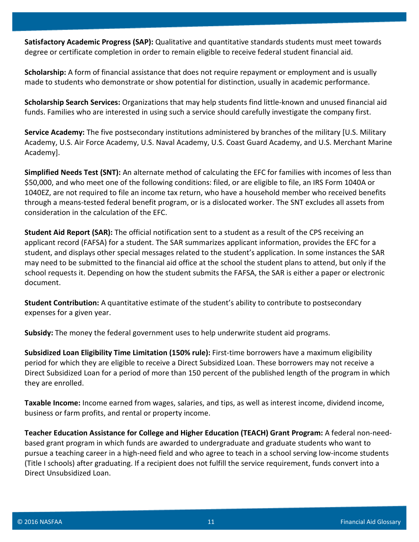**Satisfactory Academic Progress (SAP):** Qualitative and quantitative standards students must meet towards degree or certificate completion in order to remain eligible to receive federal student financial aid.

**Scholarship:** A form of financial assistance that does not require repayment or employment and is usually made to students who demonstrate or show potential for distinction, usually in academic performance.

**Scholarship Search Services:** Organizations that may help students find little-known and unused financial aid funds. Families who are interested in using such a service should carefully investigate the company first.

**Service Academy:** The five postsecondary institutions administered by branches of the military [U.S. Military Academy, U.S. Air Force Academy, U.S. Naval Academy, U.S. Coast Guard Academy, and U.S. Merchant Marine Academy].

**Simplified Needs Test (SNT):** An alternate method of calculating the EFC for families with incomes of less than \$50,000, and who meet one of the following conditions: filed, or are eligible to file, an IRS Form 1040A or 1040EZ, are not required to file an income tax return, who have a household member who received benefits through a means-tested federal benefit program, or is a dislocated worker. The SNT excludes all assets from consideration in the calculation of the EFC.

**Student Aid Report (SAR):** The official notification sent to a student as a result of the CPS receiving an applicant record (FAFSA) for a student. The SAR summarizes applicant information, provides the EFC for a student, and displays other special messages related to the student's application. In some instances the SAR may need to be submitted to the financial aid office at the school the student plans to attend, but only if the school requests it. Depending on how the student submits the FAFSA, the SAR is either a paper or electronic document.

**Student Contribution:** A quantitative estimate of the student's ability to contribute to postsecondary expenses for a given year.

**Subsidy:** The money the federal government uses to help underwrite student aid programs.

**Subsidized Loan Eligibility Time Limitation (150% rule):** First-time borrowers have a maximum eligibility period for which they are eligible to receive a Direct Subsidized Loan. These borrowers may not receive a Direct Subsidized Loan for a period of more than 150 percent of the published length of the program in which they are enrolled.

**Taxable Income:** Income earned from wages, salaries, and tips, as well as interest income, dividend income, business or farm profits, and rental or property income.

**Teacher Education Assistance for College and Higher Education (TEACH) Grant Program:** A federal non-needbased grant program in which funds are awarded to undergraduate and graduate students who want to pursue a teaching career in a high-need field and who agree to teach in a school serving low-income students (Title I schools) after graduating. If a recipient does not fulfill the service requirement, funds convert into a Direct Unsubsidized Loan.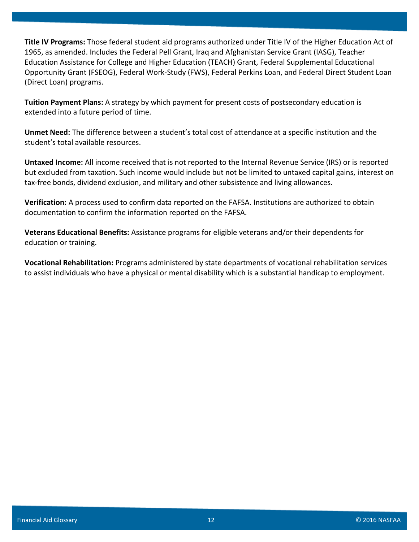**Title IV Programs:** Those federal student aid programs authorized under Title IV of the Higher Education Act of 1965, as amended. Includes the Federal Pell Grant, Iraq and Afghanistan Service Grant (IASG), Teacher Education Assistance for College and Higher Education (TEACH) Grant, Federal Supplemental Educational Opportunity Grant (FSEOG), Federal Work-Study (FWS), Federal Perkins Loan, and Federal Direct Student Loan (Direct Loan) programs.

**Tuition Payment Plans:** A strategy by which payment for present costs of postsecondary education is extended into a future period of time.

**Unmet Need:** The difference between a student's total cost of attendance at a specific institution and the student's total available resources.

**Untaxed Income:** All income received that is not reported to the Internal Revenue Service (IRS) or is reported but excluded from taxation. Such income would include but not be limited to untaxed capital gains, interest on tax-free bonds, dividend exclusion, and military and other subsistence and living allowances.

**Verification:** A process used to confirm data reported on the FAFSA. Institutions are authorized to obtain documentation to confirm the information reported on the FAFSA.

**Veterans Educational Benefits:** Assistance programs for eligible veterans and/or their dependents for education or training.

**Vocational Rehabilitation:** Programs administered by state departments of vocational rehabilitation services to assist individuals who have a physical or mental disability which is a substantial handicap to employment.